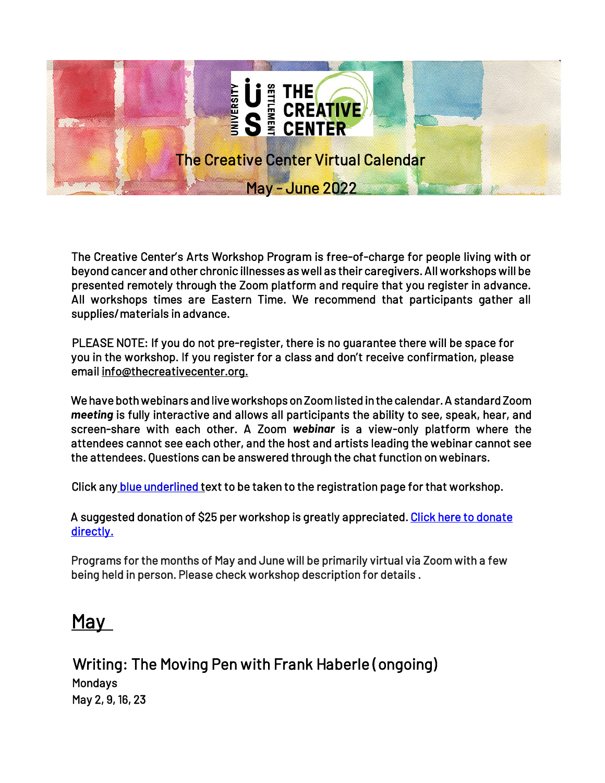

The Creative Center's Arts Workshop Program is free-of-charge for people living with or beyond cancer and other chronic illnesses as well as their caregivers. All workshops will be presented remotely through the Zoom platform and require that you register in advance. All workshops times are Eastern Time. We recommend that participants gather all supplies/materials in advance.

PLEASE NOTE: If you do not pre-register, there is no guarantee there will be space for you in the workshop. If you register for a class and don't receive confirmation, please email info@thecreativecenter.org.

We have both webinars and live workshops on Zoom listed in the calendar. A standard Zoom *meeting* is fully interactive and allows all participants the ability to see, speak, hear, and screen-share with each other. A Zoom *webinar* is a view-only platform where the attendees cannot see each other, and the host and artists leading the webinar cannot see the attendees. Questions can be answered through the chat function on webinars.

Click any blue underlined text to be taken to the registration page for that workshop.

A suggested donation of \$25 per workshop is greatly appreciated. Click here to donate directly.

Programs for the months of May and June will be primarily virtual via Zoom with a few being held in person. Please check workshop description for details .

# May

Writing: The Moving Pen with Frank Haberle (ongoing) **Mondays** May 2, 9, 16, 23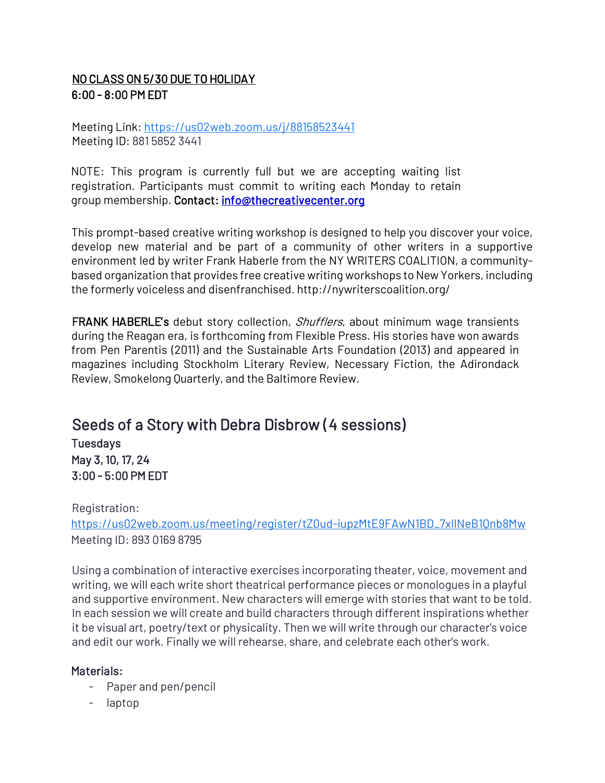# NO CLASS ON 5/30 DUE TO HOLIDAY  $6:00 - 8:00$  PM FDT

Meeting Link:<https://us02web.zoom.us/j/88158523441> Meeting ID: 881 5852 3441

NOTE: This program is currently full but we are accepting waiting list registration. Participants must commit to writing each Monday to retain group membership. Contact: info@thecreativecenter.org

This prompt-based creative writing workshop is designed to help you discover your voice, develop new material and be part of a community of other writers in a supportive environment led by writer Frank Haberle from the NY WRITERS COALITION, a communitybased organization that provides free creative writing workshops to New Yorkers, including the formerly voiceless and disenfranchised. http://nywriterscoalition.org/

FRANK HABERLE's debut story collection, *Shufflers*, about minimum wage transients during the Reagan era, is forthcoming from Flexible Press. His stories have won awards from Pen Parentis (2011) and the Sustainable Arts Foundation (2013) and appeared in magazines including Stockholm Literary Review, Necessary Fiction, the Adirondack Review, Smokelong Quarterly, and the Baltimore Review.

# Seeds of a Story with Debra Disbrow (4 sessions)

**Tuesdays** May 3, 10, 17, 24 3:00 - 5:00 PM EDT

## Registration:

[https://us02web.zoom.us/meeting/register/tZ0ud-iupzMtE9FAwN1BD\\_7xIlNeB1Qnb8Mw](https://us02web.zoom.us/meeting/register/tZ0ud-iupzMtE9FAwN1BD_7xIlNeB1Qnb8Mw) Meeting ID: 893 0169 8795

Using a combination of interactive exercises incorporating theater, voice, movement and writing, we will each write short theatrical performance pieces or monologues in a playful and supportive environment. New characters will emerge with stories that want to be told. In each session we will create and build characters through different inspirations whether it be visual art, poetry/text or physicality. Then we will write through our character's voice and edit our work. Finally we will rehearse, share, and celebrate each other's work.

## Materials:

- Paper and pen/pencil
- laptop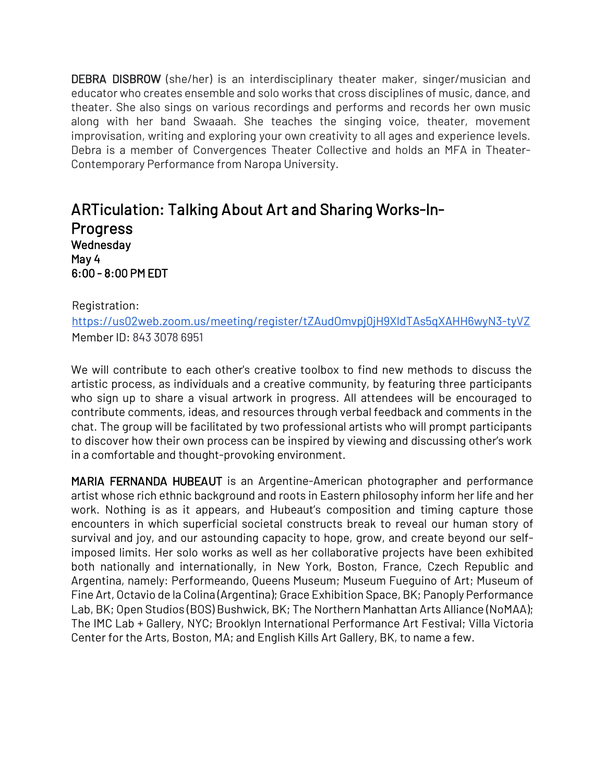DEBRA DISBROW (she/her) is an interdisciplinary theater maker, singer/musician and educator who creates ensemble and solo works that cross disciplines of music, dance, and theater. She also sings on various recordings and performs and records her own music along with her band Swaaah. She teaches the singing voice, theater, movement improvisation, writing and exploring your own creativity to all ages and experience levels. Debra is a member of Convergences Theater Collective and holds an MFA in Theater-Contemporary Performance from Naropa University.

# ARTiculation: Talking About Art and Sharing Works-In-Progress Wednesday May 4 6:00 - 8:00 PM EDT

Registration:

<https://us02web.zoom.us/meeting/register/tZAudOmvpj0jH9XldTAs5qXAHH6wyN3-tyVZ> Member ID: 843 3078 6951

We will contribute to each other's creative toolbox to find new methods to discuss the artistic process, as individuals and a creative community, by featuring three participants who sign up to share a visual artwork in progress. All attendees will be encouraged to contribute comments, ideas, and resources through verbal feedback and comments in the chat. The group will be facilitated by two professional artists who will prompt participants to discover how their own process can be inspired by viewing and discussing other's work in a comfortable and thought-provoking environment.

MARIA FERNANDA HUBEAUT is an Argentine-American photographer and performance artist whose rich ethnic background and roots in Eastern philosophy inform her life and her work. Nothing is as it appears, and Hubeaut's composition and timing capture those encounters in which superficial societal constructs break to reveal our human story of survival and joy, and our astounding capacity to hope, grow, and create beyond our selfimposed limits. Her solo works as well as her collaborative projects have been exhibited both nationally and internationally, in New York, Boston, France, Czech Republic and Argentina, namely: Performeando, Queens Museum; Museum Fueguino of Art; Museum of Fine Art, Octavio de la Colina (Argentina); Grace Exhibition Space, BK; Panoply Performance Lab, BK; Open Studios (BOS) Bushwick, BK; The Northern Manhattan Arts Alliance (NoMAA); The IMC Lab + Gallery, NYC; Brooklyn International Performance Art Festival; Villa Victoria Center for the Arts, Boston, MA; and English Kills Art Gallery, BK, to name a few.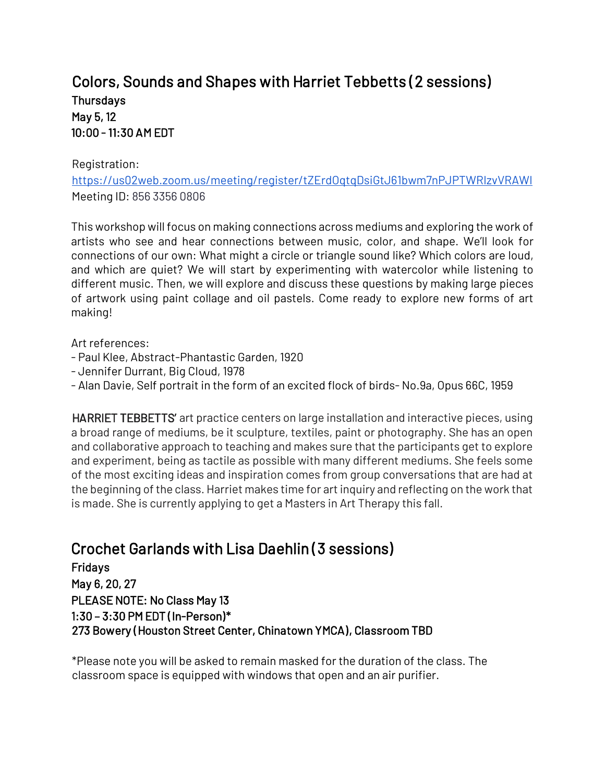# Colors, Sounds and Shapes with Harriet Tebbetts (2 sessions) **Thursdays** May 5, 12 10:00 - 11:30 AM EDT

#### Registration:

<https://us02web.zoom.us/meeting/register/tZErdOqtqDsiGtJ61bwm7nPJPTWRIzvVRAWI> Meeting ID: 856 3356 0806

This workshop will focus on making connections across mediums and exploring the work of artists who see and hear connections between music, color, and shape. We'll look for connections of our own: What might a circle or triangle sound like? Which colors are loud, and which are quiet? We will start by experimenting with watercolor while listening to different music. Then, we will explore and discuss these questions by making large pieces of artwork using paint collage and oil pastels. Come ready to explore new forms of art making!

Art references:

- Paul Klee, Abstract-Phantastic Garden, 1920
- Jennifer Durrant, Big Cloud, 1978
- Alan Davie, Self portrait in the form of an excited flock of birds- No.9a, Opus 66C, 1959

HARRIET TEBBETTS' art practice centers on large installation and interactive pieces, using a broad range of mediums, be it sculpture, textiles, paint or photography. She has an open and collaborative approach to teaching and makes sure that the participants get to explore and experiment, being as tactile as possible with many different mediums. She feels some of the most exciting ideas and inspiration comes from group conversations that are had at the beginning of the class. Harriet makes time for art inquiry and reflecting on the work that is made. She is currently applying to get a Masters in Art Therapy this fall.

# Crochet Garlands with Lisa Daehlin (3 sessions)

Fridays May 6, 20, 27 PLEASE NOTE: No Class May 13 1:30 – 3:30 PM EDT (In-Person)\* 273 Bowery (Houston Street Center, Chinatown YMCA), Classroom TBD

\*Please note you will be asked to remain masked for the duration of the class. The classroom space is equipped with windows that open and an air purifier.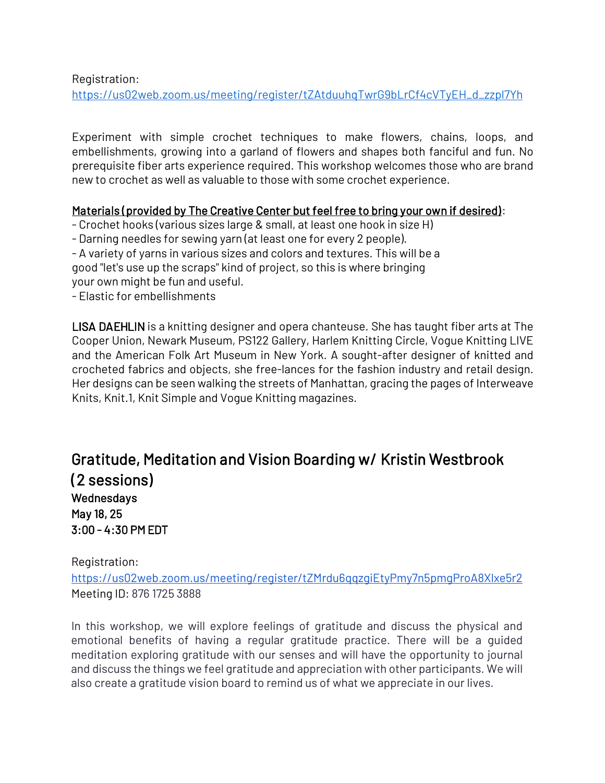Registration:

[https://us02web.zoom.us/meeting/register/tZAtduuhqTwrG9bLrCf4cVTyEH\\_d\\_zzpl7Yh](https://us02web.zoom.us/meeting/register/tZAtduuhqTwrG9bLrCf4cVTyEH_d_zzpl7Yh)

Experiment with simple crochet techniques to make flowers, chains, loops, and embellishments, growing into a garland of flowers and shapes both fanciful and fun. No prerequisite fiber arts experience required. This workshop welcomes those who are brand new to crochet as well as valuable to those with some crochet experience.

## Materials (provided by The Creative Center but feel free to bring your own if desired):

- Crochet hooks (various sizes large & small, at least one hook in size H)

- Darning needles for sewing yarn (at least one for every 2 people).

- A variety of yarns in various sizes and colors and textures. This will be a

good "let's use up the scraps" kind of project, so this is where bringing

your own might be fun and useful.

- Elastic for embellishments

LISA DAEHLIN is a knitting designer and opera chanteuse. She has taught fiber arts at The Cooper Union, Newark Museum, PS122 Gallery, Harlem Knitting Circle, Vogue Knitting LIVE and the American Folk Art Museum in New York. A sought-after designer of knitted and crocheted fabrics and objects, she free-lances for the fashion industry and retail design. Her designs can be seen walking the streets of Manhattan, gracing the pages of Interweave Knits, Knit.1, Knit Simple and Vogue Knitting magazines.

# Gratitude, Meditation and Vision Boarding w/ Kristin Westbrook (2 sessions) **Wednesdays** May 18, 25 3:00 - 4:30 PM EDT

Registration:

<https://us02web.zoom.us/meeting/register/tZMrdu6qqzgiEtyPmy7n5pmgProA8Xlxe5r2> Meeting ID: 876 1725 3888

In this workshop, we will explore feelings of gratitude and discuss the physical and emotional benefits of having a regular gratitude practice. There will be a guided meditation exploring gratitude with our senses and will have the opportunity to journal and discuss the things we feel gratitude and appreciation with other participants. We will also create a gratitude vision board to remind us of what we appreciate in our lives.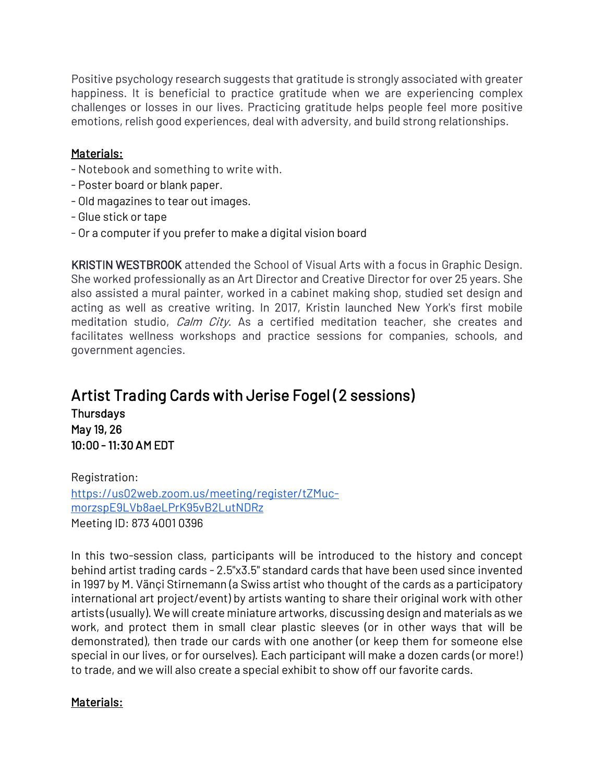Positive psychology research suggests that gratitude is strongly associated with greater happiness. It is beneficial to practice gratitude when we are experiencing complex challenges or losses in our lives. Practicing gratitude helps people feel more positive emotions, relish good experiences, deal with adversity, and build strong relationships.

### Materials:

- Notebook and something to write with.
- Poster board or blank paper.
- Old magazines to tear out images.
- Glue stick or tape
- Or a computer if you prefer to make a digital vision board

KRISTIN WESTBROOK attended the School of Visual Arts with a focus in Graphic Design. She worked professionally as an Art Director and Creative Director for over 25 years. She also assisted a mural painter, worked in a cabinet making shop, studied set design and acting as well as creative writing. In 2017, Kristin launched New York's first mobile meditation studio, *Calm City*. As a certified meditation teacher, she creates and facilitates wellness workshops and practice sessions for companies, schools, and government agencies.

# Artist Trading Cards with Jerise Fogel (2 sessions) **Thursdays** May 19, 26

10:00 - 11:30 AM EDT

Registration: [https://us02web.zoom.us/meeting/register/tZMuc](https://us02web.zoom.us/meeting/register/tZMuc-morzspE9LVb8aeLPrK95vB2LutNDRz)[morzspE9LVb8aeLPrK95vB2LutNDRz](https://us02web.zoom.us/meeting/register/tZMuc-morzspE9LVb8aeLPrK95vB2LutNDRz) Meeting ID: 873 4001 0396

In this two-session class, participants will be introduced to the history and concept behind artist trading cards - 2.5"x3.5" standard cards that have been used since invented in 1997 by M. Vänçi Stirnemann (a Swiss artist who thought of the cards as a participatory international art project/event) by artists wanting to share their original work with other artists (usually). We will create miniature artworks, discussing design and materials as we work, and protect them in small clear plastic sleeves (or in other ways that will be demonstrated), then trade our cards with one another (or keep them for someone else special in our lives, or for ourselves). Each participant will make a dozen cards (or more!) to trade, and we will also create a special exhibit to show off our favorite cards.

## Materials: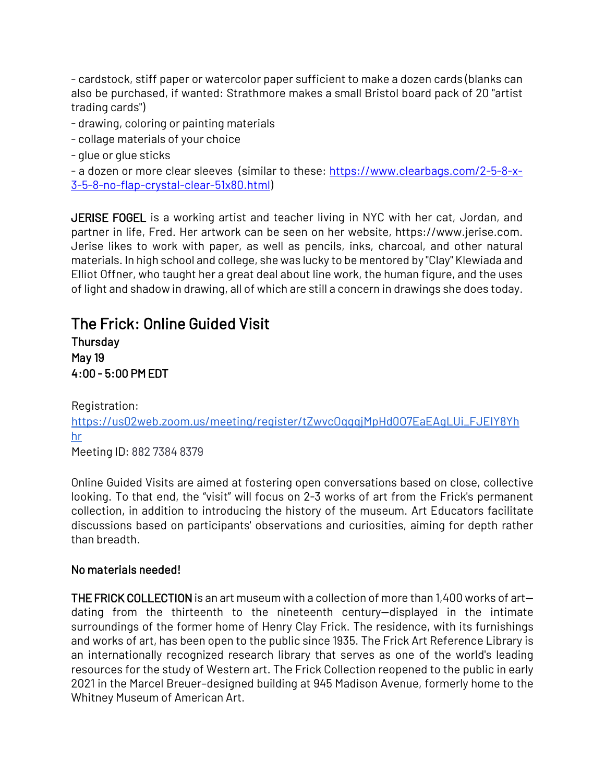- cardstock, stiff paper or watercolor paper sufficient to make a dozen cards (blanks can also be purchased, if wanted: Strathmore makes a small Bristol board pack of 20 "artist trading cards")

- drawing, coloring or painting materials
- collage materials of your choice
- glue or glue sticks

```
- a dozen or more clear sleeves (similar to these: https://www.clearbags.com/2-5-8-x-
3-5-8-no-flap-crystal-clear-51x80.html)
```
JERISE FOGEL is a working artist and teacher living in NYC with her cat, Jordan, and partner in life, Fred. Her artwork can be seen on her website, https://www.jerise.com. Jerise likes to work with paper, as well as pencils, inks, charcoal, and other natural materials. In high school and college, she was lucky to be mentored by "Clay" Klewiada and Elliot Offner, who taught her a great deal about line work, the human figure, and the uses of light and shadow in drawing, all of which are still a concern in drawings she does today.

# The Frick: Online Guided Visit **Thursday**

May 19 4:00 - 5:00 PM EDT

Registration:

[https://us02web.zoom.us/meeting/register/tZwvcOqgqjMpHd0O7EaEAgLUi\\_FJEIY8Yh](https://us02web.zoom.us/meeting/register/tZwvcOqgqjMpHd0O7EaEAgLUi_FJEIY8Yhhr) [hr](https://us02web.zoom.us/meeting/register/tZwvcOqgqjMpHd0O7EaEAgLUi_FJEIY8Yhhr)

Meeting ID: 882 7384 8379

Online Guided Visits are aimed at fostering open conversations based on close, collective looking. To that end, the "visit" will focus on 2-3 works of art from the Frick's permanent collection, in addition to introducing the history of the museum. Art Educators facilitate discussions based on participants' observations and curiosities, aiming for depth rather than breadth.

## No materials needed!

THE FRICK COLLECTIONis an art museum with a collection of more than 1,400 works of art dating from the thirteenth to the nineteenth century—displayed in the intimate surroundings of the former home of Henry Clay Frick. The residence, with its furnishings and works of art, has been open to the public since 1935. The Frick Art Reference Library is an internationally recognized research library that serves as one of the world's leading resources for the study of Western art. The Frick Collection reopened to the public in early 2021 in the Marcel Breuer–designed building at 945 Madison Avenue, formerly home to the Whitney Museum of American Art.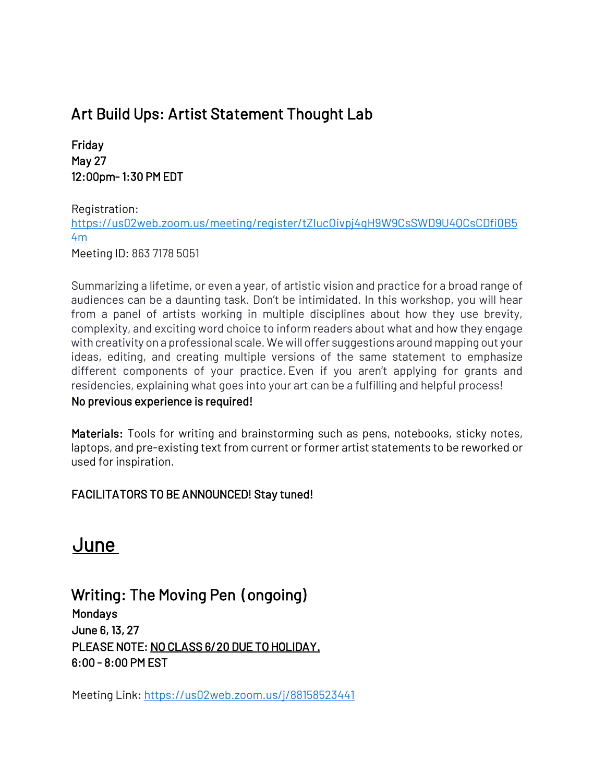# Art Build Ups: Artist Statement Thought Lab

Friday May 27 12:00pm- 1:30 PM EDT

Registration:

[https://us02web.zoom.us/meeting/register/tZIucOivpj4qH9W9CsSWD9U4QCsCDfi0B5](https://us02web.zoom.us/meeting/register/tZIucOivpj4qH9W9CsSWD9U4QCsCDfi0B54m) [4m](https://us02web.zoom.us/meeting/register/tZIucOivpj4qH9W9CsSWD9U4QCsCDfi0B54m)

Meeting ID: 863 7178 5051

Summarizing a lifetime, or even a year, of artistic vision and practice for a broad range of audiences can be a daunting task. Don't be intimidated. In this workshop, you will hear from a panel of artists working in multiple disciplines about how they use brevity, complexity, and exciting word choice to inform readers about what and how they engage with creativity on a professional scale. We will offer suggestions around mapping out your ideas, editing, and creating multiple versions of the same statement to emphasize different components of your practice. Even if you aren't applying for grants and residencies, explaining what goes into your art can be a fulfilling and helpful process!

#### No previous experience is required!

Materials: Tools for writing and brainstorming such as pens, notebooks, sticky notes, laptops, and pre-existing text from current or former artist statements to be reworked or used for inspiration.

## FACILITATORS TO BE ANNOUNCED! Stay tuned!

# June

# Writing: The Moving Pen (ongoing) **Mondays** June 6, 13, 27

PLEASE NOTE: NO CLASS 6/20 DUE TO HOLIDAY. 6:00 - 8:00 PM EST

Meeting Link:<https://us02web.zoom.us/j/88158523441>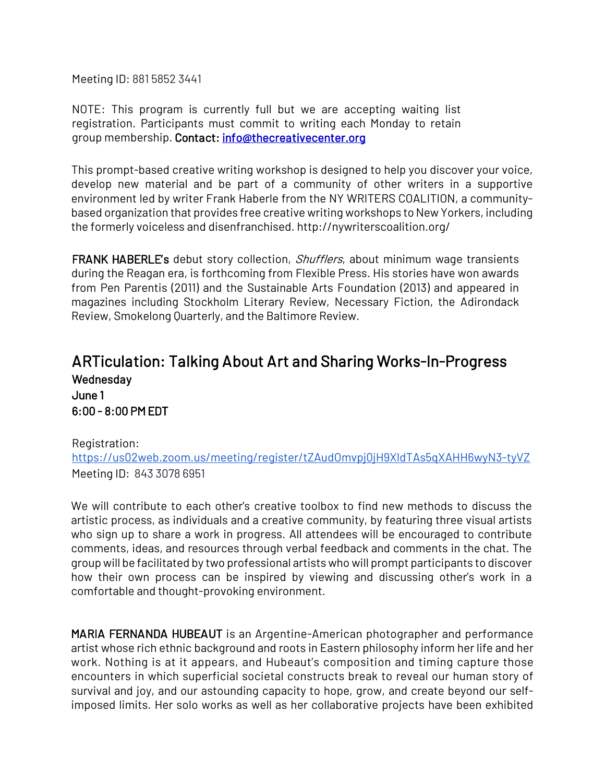Meeting ID: 881 5852 3441

NOTE: This program is currently full but we are accepting waiting list registration. Participants must commit to writing each Monday to retain group membership. Contact: info@thecreativecenter.org

This prompt-based creative writing workshop is designed to help you discover your voice, develop new material and be part of a community of other writers in a supportive environment led by writer Frank Haberle from the NY WRITERS COALITION, a communitybased organization that provides free creative writing workshops to New Yorkers, including the formerly voiceless and disenfranchised. http://nywriterscoalition.org/

FRANK HABERLE's debut story collection, *Shufflers*, about minimum wage transients during the Reagan era, is forthcoming from Flexible Press. His stories have won awards from Pen Parentis (2011) and the Sustainable Arts Foundation (2013) and appeared in magazines including Stockholm Literary Review, Necessary Fiction, the Adirondack Review, Smokelong Quarterly, and the Baltimore Review.

# ARTiculation: Talking About Art and Sharing Works-In-Progress **Wednesday** June 1 6:00 - 8:00 PM EDT

## Registration: <https://us02web.zoom.us/meeting/register/tZAudOmvpj0jH9XldTAs5qXAHH6wyN3-tyVZ> Meeting ID: 843 3078 6951

We will contribute to each other's creative toolbox to find new methods to discuss the artistic process, as individuals and a creative community, by featuring three visual artists who sign up to share a work in progress. All attendees will be encouraged to contribute comments, ideas, and resources through verbal feedback and comments in the chat. The group will be facilitated by two professional artists who will prompt participants to discover how their own process can be inspired by viewing and discussing other's work in a comfortable and thought-provoking environment.

MARIA FERNANDA HUBEAUT is an Argentine-American photographer and performance artist whose rich ethnic background and roots in Eastern philosophy inform her life and her work. Nothing is at it appears, and Hubeaut's composition and timing capture those encounters in which superficial societal constructs break to reveal our human story of survival and joy, and our astounding capacity to hope, grow, and create beyond our selfimposed limits. Her solo works as well as her collaborative projects have been exhibited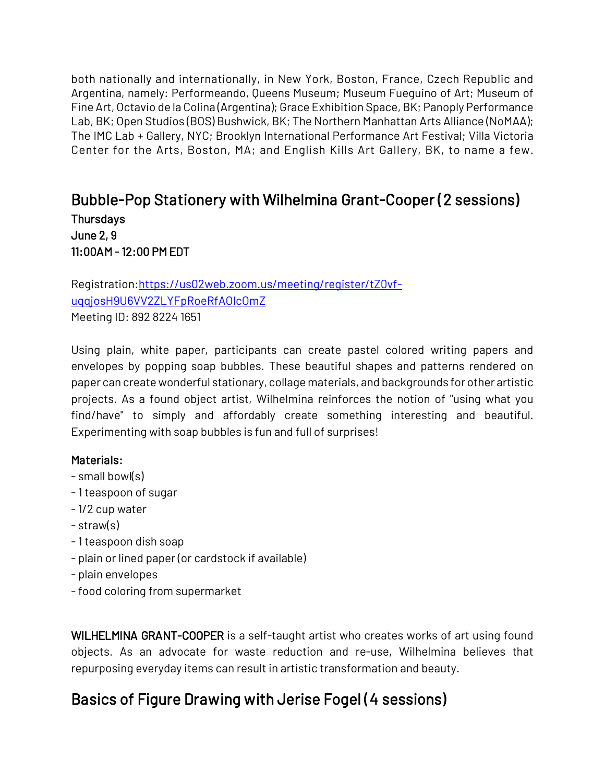both nationally and internationally, in New York, Boston, France, Czech Republic and Argentina, namely: Performeando, Queens Museum; Museum Fueguino of Art; Museum of Fine Art, Octavio de la Colina (Argentina); Grace Exhibition Space, BK; Panoply Performance Lab, BK; Open Studios (BOS) Bushwick, BK; The Northern Manhattan Arts Alliance (NoMAA); The IMC Lab + Gallery, NYC; Brooklyn International Performance Art Festival; Villa Victoria Center for the Arts, Boston, MA; and English Kills Art Gallery, BK, to name a few.

# Bubble-Pop Stationery with Wilhelmina Grant-Cooper (2 sessions) **Thursdays** June 2, 9 11:00AM - 12:00 PM EDT

Registration[:https://us02web.zoom.us/meeting/register/tZ0vf](https://us02web.zoom.us/meeting/register/tZ0vf-uqqjosH9U6VV2ZLYFpRoeRfAOlcOmZ)[uqqjosH9U6VV2ZLYFpRoeRfAOlcOmZ](https://us02web.zoom.us/meeting/register/tZ0vf-uqqjosH9U6VV2ZLYFpRoeRfAOlcOmZ) Meeting ID: 892 8224 1651

Using plain, white paper, participants can create pastel colored writing papers and envelopes by popping soap bubbles. These beautiful shapes and patterns rendered on paper can create wonderful stationary, collage materials, and backgrounds for other artistic projects. As a found object artist, Wilhelmina reinforces the notion of "using what you find/have" to simply and affordably create something interesting and beautiful. Experimenting with soap bubbles is fun and full of surprises!

## Materials:

- small bowl(s)
- 1 teaspoon of sugar
- 1/2 cup water
- straw(s)
- 1 teaspoon dish soap
- plain or lined paper (or cardstock if available)
- plain envelopes
- food coloring from supermarket

WILHELMINA GRANT-COOPER is a self-taught artist who creates works of art using found objects. As an advocate for waste reduction and re-use, Wilhelmina believes that repurposing everyday items can result in artistic transformation and beauty.

# Basics of Figure Drawing with Jerise Fogel (4 sessions)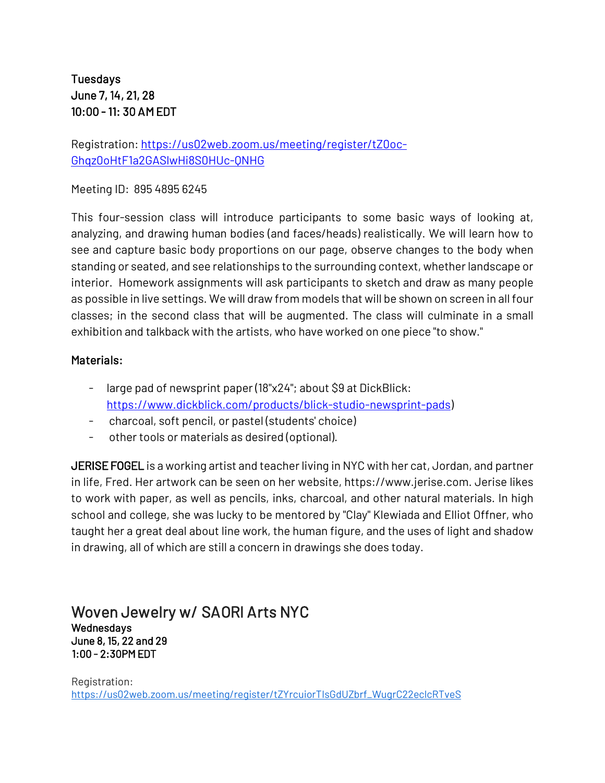# **Tuesdays** June 7, 14, 21, 28 10:00 - 11: 30 AM EDT

Registration: [https://us02web.zoom.us/meeting/register/tZ0oc-](https://us02web.zoom.us/meeting/register/tZ0oc-Ghqz0oHtF1a2GASlwHi8S0HUc-QNHG)[Ghqz0oHtF1a2GASlwHi8S0HUc-QNHG](https://us02web.zoom.us/meeting/register/tZ0oc-Ghqz0oHtF1a2GASlwHi8S0HUc-QNHG)

Meeting ID: 895 4895 6245

This four-session class will introduce participants to some basic ways of looking at, analyzing, and drawing human bodies (and faces/heads) realistically. We will learn how to see and capture basic body proportions on our page, observe changes to the body when standing or seated, and see relationships to the surrounding context, whether landscape or interior. Homework assignments will ask participants to sketch and draw as many people as possible in live settings. We will draw from models that will be shown on screen in all four classes; in the second class that will be augmented. The class will culminate in a small exhibition and talkback with the artists, who have worked on one piece "to show."

## Materials:

- large pad of newsprint paper (18"x24"; about \$9 at DickBlick: [https://www.dickblick.com/products/blick-studio-newsprint-pads\)](https://www.dickblick.com/products/blick-studio-newsprint-pads)
- charcoal, soft pencil, or pastel (students' choice)
- other tools or materials as desired (optional).

JERISE FOGEL is a working artist and teacher living in NYC with her cat, Jordan, and partner in life, Fred. Her artwork can be seen on her website, https://www.jerise.com. Jerise likes to work with paper, as well as pencils, inks, charcoal, and other natural materials. In high school and college, she was lucky to be mentored by "Clay" Klewiada and Elliot Offner, who taught her a great deal about line work, the human figure, and the uses of light and shadow in drawing, all of which are still a concern in drawings she does today.

### Woven Jewelry w/ SAORI Arts NYC Wednesdays June 8, 15, 22 and 29 1:00 - 2:30PM EDT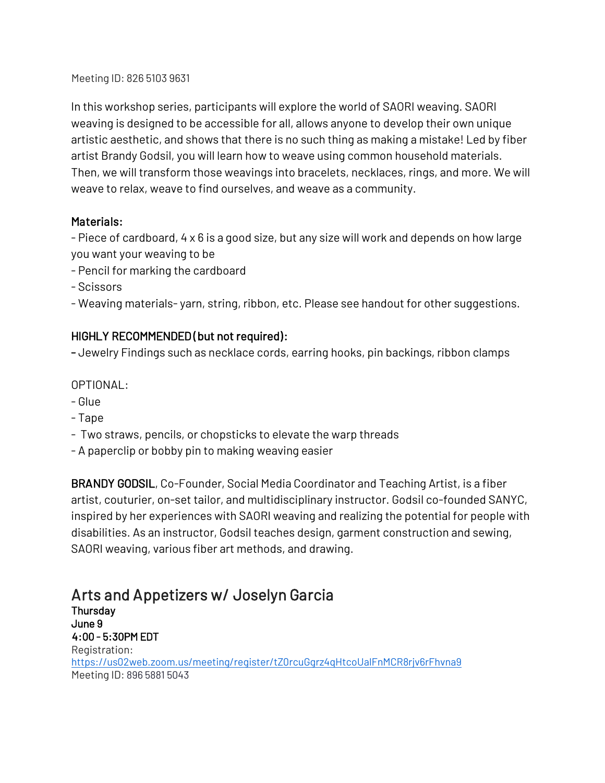Meeting ID: 826 5103 9631

In this workshop series, participants will explore the world of SAORI weaving. SAORI weaving is designed to be accessible for all, allows anyone to develop their own unique artistic aesthetic, and shows that there is no such thing as making a mistake! Led by fiber artist Brandy Godsil, you will learn how to weave using common household materials. Then, we will transform those weavings into bracelets, necklaces, rings, and more. We will weave to relax, weave to find ourselves, and weave as a community.

## Materials:

- Piece of cardboard, 4 x 6 is a good size, but any size will work and depends on how large you want your weaving to be

- Pencil for marking the cardboard
- Scissors

- Weaving materials- yarn, string, ribbon, etc. Please see handout for other suggestions.

## HIGHLY RECOMMENDED (but not required):

- Jewelry Findings such as necklace cords, earring hooks, pin backings, ribbon clamps

OPTIONAL:

- Glue
- Tape
- Two straws, pencils, or chopsticks to elevate the warp threads
- A paperclip or bobby pin to making weaving easier

BRANDY GODSIL, Co-Founder, Social Media Coordinator and Teaching Artist, is a fiber artist, couturier, on-set tailor, and multidisciplinary instructor. Godsil co-founded SANYC, inspired by her experiences with SAORI weaving and realizing the potential for people with disabilities. As an instructor, Godsil teaches design, garment construction and sewing, SAORI weaving, various fiber art methods, and drawing.

# Arts and Appetizers w/ Joselyn Garcia

**Thursdav** June 9 4:00 - 5:30PM EDT Registration: <https://us02web.zoom.us/meeting/register/tZ0rcuGgrz4qHtcoUalFnMCR8rjv6rFhvna9> Meeting ID: 896 5881 5043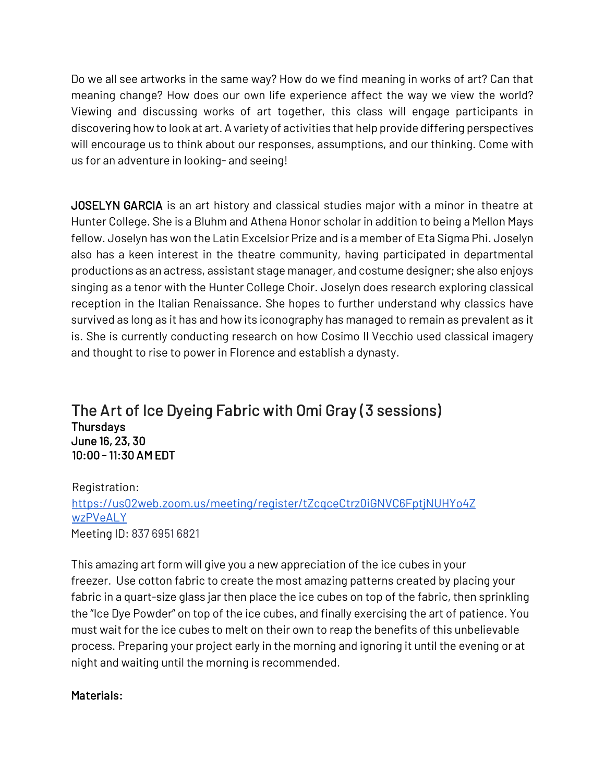Do we all see artworks in the same way? How do we find meaning in works of art? Can that meaning change? How does our own life experience affect the way we view the world? Viewing and discussing works of art together, this class will engage participants in discovering how to look at art. A variety of activities that help provide differing perspectives will encourage us to think about our responses, assumptions, and our thinking. Come with us for an adventure in looking- and seeing!

JOSELYN GARCIA is an art history and classical studies major with a minor in theatre at Hunter College. She is a Bluhm and Athena Honor scholar in addition to being a Mellon Mays fellow. Joselyn has won the Latin Excelsior Prize and is a member of Eta Sigma Phi. Joselyn also has a keen interest in the theatre community, having participated in departmental productions as an actress, assistant stage manager, and costume designer; she also enjoys singing as a tenor with the Hunter College Choir. Joselyn does research exploring classical reception in the Italian Renaissance. She hopes to further understand why classics have survived as long as it has and how its iconography has managed to remain as prevalent as it is. She is currently conducting research on how Cosimo Il Vecchio used classical imagery and thought to rise to power in Florence and establish a dynasty.

The Art of Ice Dyeing Fabric with Omi Gray (3 sessions) **Thursdays** June 16, 23, 30 10:00 - 11:30 AM EDT

Registration: [https://us02web.zoom.us/meeting/register/tZcqceCtrz0iGNVC6FptjNUHYo4Z](https://us02web.zoom.us/meeting/register/tZcqceCtrz0iGNVC6FptjNUHYo4ZwzPVeALY) [wzPVeALY](https://us02web.zoom.us/meeting/register/tZcqceCtrz0iGNVC6FptjNUHYo4ZwzPVeALY) Meeting ID: 837 6951 6821

This amazing art form will give you a new appreciation of the ice cubes in your freezer. Use cotton fabric to create the most amazing patterns created by placing your fabric in a quart-size glass jar then place the ice cubes on top of the fabric, then sprinkling the "Ice Dye Powder" on top of the ice cubes, and finally exercising the art of patience. You must wait for the ice cubes to melt on their own to reap the benefits of this unbelievable process. Preparing your project early in the morning and ignoring it until the evening or at night and waiting until the morning is recommended.

## Materials: